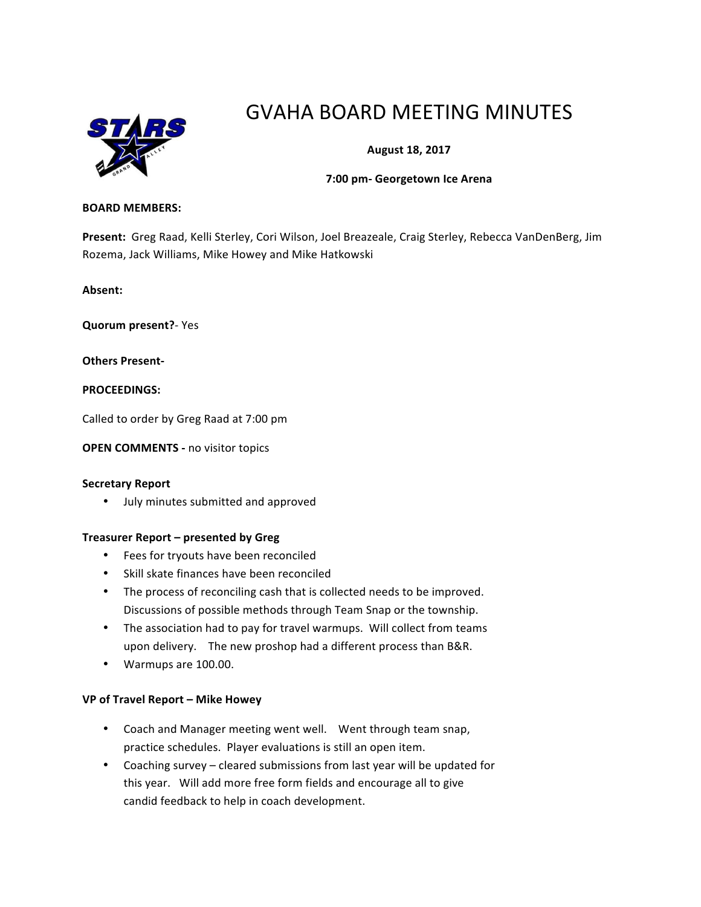

# GVAHA BOARD MEETING MINUTES

# **August 18, 2017**

#### **7:00 pm- Georgetown Ice Arena**

#### **BOARD MEMBERS:**

Present: Greg Raad, Kelli Sterley, Cori Wilson, Joel Breazeale, Craig Sterley, Rebecca VanDenBerg, Jim Rozema, Jack Williams, Mike Howey and Mike Hatkowski

**Absent:** 

**Quorum present?**- Yes

**Others Present-**

**PROCEEDINGS:**

Called to order by Greg Raad at 7:00 pm

**OPEN COMMENTS - no visitor topics** 

#### **Secretary Report**

• July minutes submitted and approved

#### **Treasurer Report – presented by Greg**

- Fees for tryouts have been reconciled
- Skill skate finances have been reconciled
- The process of reconciling cash that is collected needs to be improved. Discussions of possible methods through Team Snap or the township.
- The association had to pay for travel warmups. Will collect from teams upon delivery. The new proshop had a different process than B&R.
- Warmups are 100.00.

#### **VP of Travel Report – Mike Howey**

- Coach and Manager meeting went well. Went through team snap, practice schedules. Player evaluations is still an open item.
- Coaching survey cleared submissions from last year will be updated for this year. Will add more free form fields and encourage all to give candid feedback to help in coach development.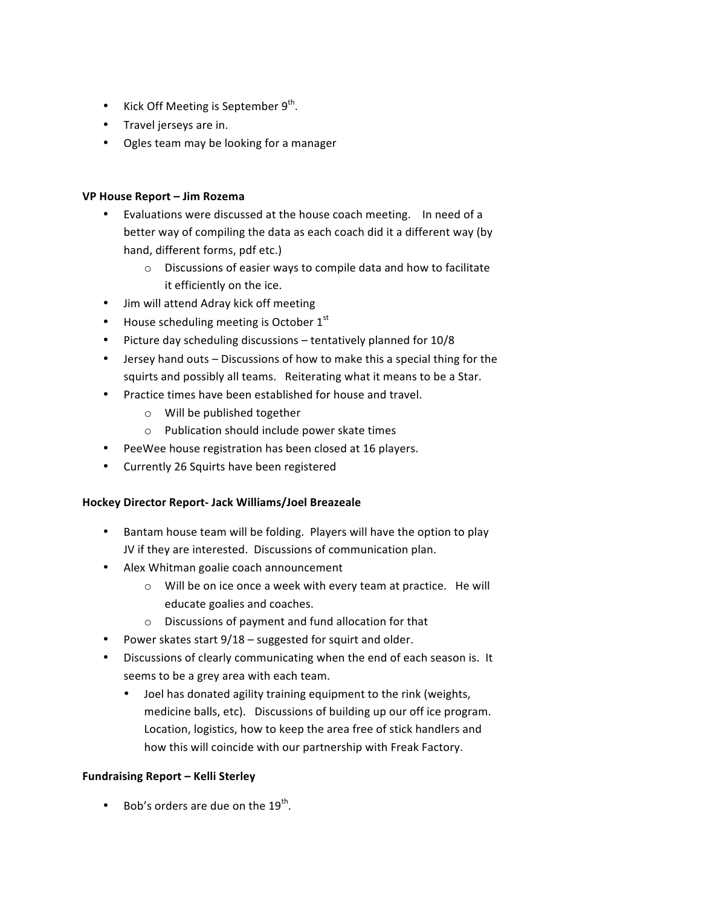- Kick Off Meeting is September  $9<sup>th</sup>$ .
- Travel jerseys are in.
- Ogles team may be looking for a manager

## **VP House Report – Jim Rozema**

- Evaluations were discussed at the house coach meeting. In need of a better way of compiling the data as each coach did it a different way (by hand, different forms, pdf etc.)
	- $\circ$  Discussions of easier ways to compile data and how to facilitate it efficiently on the ice.
- Jim will attend Adray kick off meeting
- House scheduling meeting is October  $1<sup>st</sup>$
- Picture day scheduling discussions tentatively planned for 10/8
- Jersey hand outs Discussions of how to make this a special thing for the squirts and possibly all teams. Reiterating what it means to be a Star.
- Practice times have been established for house and travel.
	- $\circ$  Will be published together
	- $\circ$  Publication should include power skate times
- PeeWee house registration has been closed at 16 players.
- Currently 26 Squirts have been registered

## **Hockey Director Report- Jack Williams/Joel Breazeale**

- Bantam house team will be folding. Players will have the option to play JV if they are interested. Discussions of communication plan.
- Alex Whitman goalie coach announcement
	- $\circ$  Will be on ice once a week with every team at practice. He will educate goalies and coaches.
	- $\circ$  Discussions of payment and fund allocation for that
- Power skates start  $9/18$  suggested for squirt and older.
- Discussions of clearly communicating when the end of each season is. It seems to be a grey area with each team.
	- Joel has donated agility training equipment to the rink (weights, medicine balls, etc). Discussions of building up our off ice program. Location, logistics, how to keep the area free of stick handlers and how this will coincide with our partnership with Freak Factory.

## **Fundraising Report – Kelli Sterley**

• Bob's orders are due on the  $19^{th}$ .